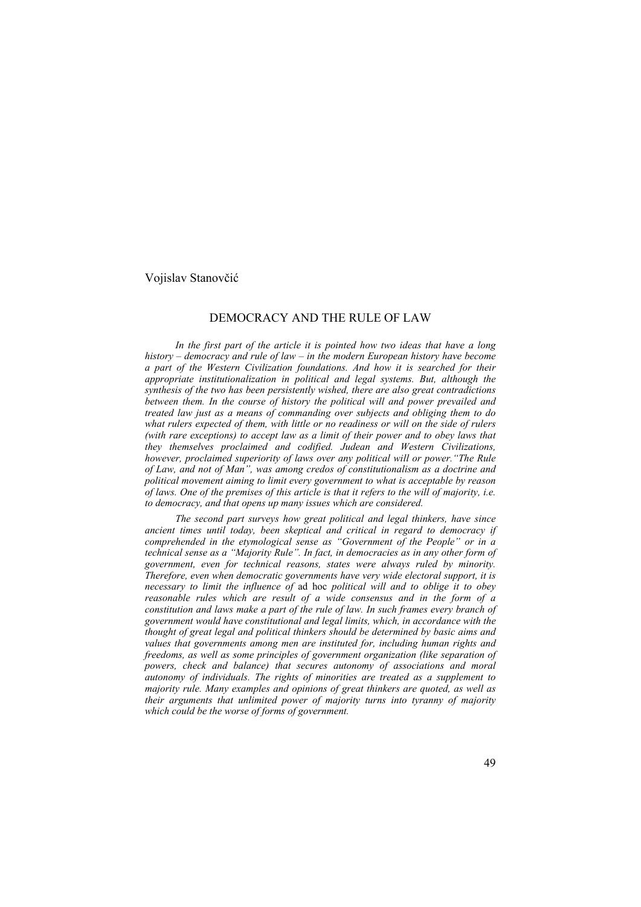#### Vojislav Stanovčić

### DEMOCRACY AND THE RULE OF LAW

*In the first part of the article it is pointed how two ideas that have a long history – democracy and rule of law – in the modern European history have become a part of the Western Civilization foundations. And how it is searched for their appropriate institutionalization in political and legal systems. But, although the synthesis of the two has been persistently wished, there are also great contradictions between them. In the course of history the political will and power prevailed and treated law just as a means of commanding over subjects and obliging them to do what rulers expected of them, with little or no readiness or will on the side of rulers (with rare exceptions) to accept law as a limit of their power and to obey laws that they themselves proclaimed and codified. Judean and Western Civilizations, however, proclaimed superiority of laws over any political will or power."The Rule of Law, and not of Man", was among credos of constitutionalism as a doctrine and political movement aiming to limit every government to what is acceptable by reason of laws. One of the premises of this article is that it refers to the will of majority, i.e. to democracy, and that opens up many issues which are considered.* 

*The second part surveys how great political and legal thinkers, have since ancient times until today, been skeptical and critical in regard to democracy if comprehended in the etymological sense as "Government of the People" or in a technical sense as a "Majority Rule". In fact, in democracies as in any other form of government, even for technical reasons, states were always ruled by minority. Therefore, even when democratic governments have very wide electoral support, it is necessary to limit the influence of* ad hoc *political will and to oblige it to obey reasonable rules which are result of a wide consensus and in the form of a constitution and laws make a part of the rule of law. In such frames every branch of government would have constitutional and legal limits, which, in accordance with the thought of great legal and political thinkers should be determined by basic aims and values that governments among men are instituted for, including human rights and freedoms, as well as some principles of government organization (like separation of powers, check and balance) that secures autonomy of associations and moral autonomy of individuals. The rights of minorities are treated as a supplement to majority rule. Many examples and opinions of great thinkers are quoted, as well as their arguments that unlimited power of majority turns into tyranny of majority which could be the worse of forms of government.*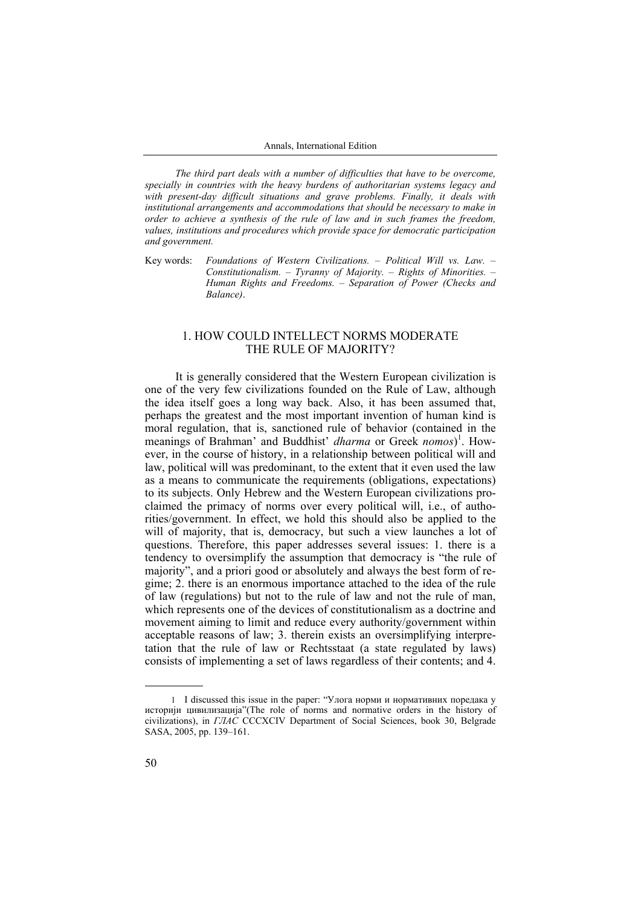*The third part deals with a number of difficulties that have to be overcome, specially in countries with the heavy burdens of authoritarian systems legacy and with present-day difficult situations and grave problems. Finally, it deals with institutional arrangements and accommodations that should be necessary to make in order to achieve a synthesis of the rule of law and in such frames the freedom, values, institutions and procedures which provide space for democratic participation and government.* 

Key words: *Foundations of Western Civilizations. – Political Will vs. Law. – Constitutionalism. – Tyranny of Majority. – Rights of Minorities. – Human Rights and Freedoms. – Separation of Power (Checks and Balance)*.

### 1. HOW COULD INTELLECT NORMS MODERATE THE RULE OF MAJORITY?

It is generally considered that the Western European civilization is one of the very few civilizations founded on the Rule of Law, although the idea itself goes a long way back. Also, it has been assumed that, perhaps the greatest and the most important invention of human kind is moral regulation, that is, sanctioned rule of behavior (contained in the meanings of Brahman' and Buddhist' *dharma* or Greek *nomos*) 1 . However, in the course of history, in a relationship between political will and law, political will was predominant, to the extent that it even used the law as a means to communicate the requirements (obligations, expectations) to its subjects. Only Hebrew and the Western European civilizations proclaimed the primacy of norms over every political will, i.e., of authorities/government. In effect, we hold this should also be applied to the will of majority, that is, democracy, but such a view launches a lot of questions. Therefore, this paper addresses several issues: 1. there is a tendency to oversimplify the assumption that democracy is "the rule of majority", and a priori good or absolutely and always the best form of regime; 2. there is an enormous importance attached to the idea of the rule of law (regulations) but not to the rule of law and not the rule of man, which represents one of the devices of constitutionalism as a doctrine and movement aiming to limit and reduce every authority/government within acceptable reasons of law; 3. therein exists an oversimplifying interpretation that the rule of law or Rechtsstaat (a state regulated by laws) consists of implementing a set of laws regardless of their contents; and 4.

<sup>1</sup> I discussed this issue in the paper: "Улога норми и нормативних поредака у историји цивилизација"(The role of norms and normative orders in the history of civilizations), in *ГЛАС* CCCXCIV Department of Social Sciences, book 30, Belgrade SASA, 2005, pp. 139–161.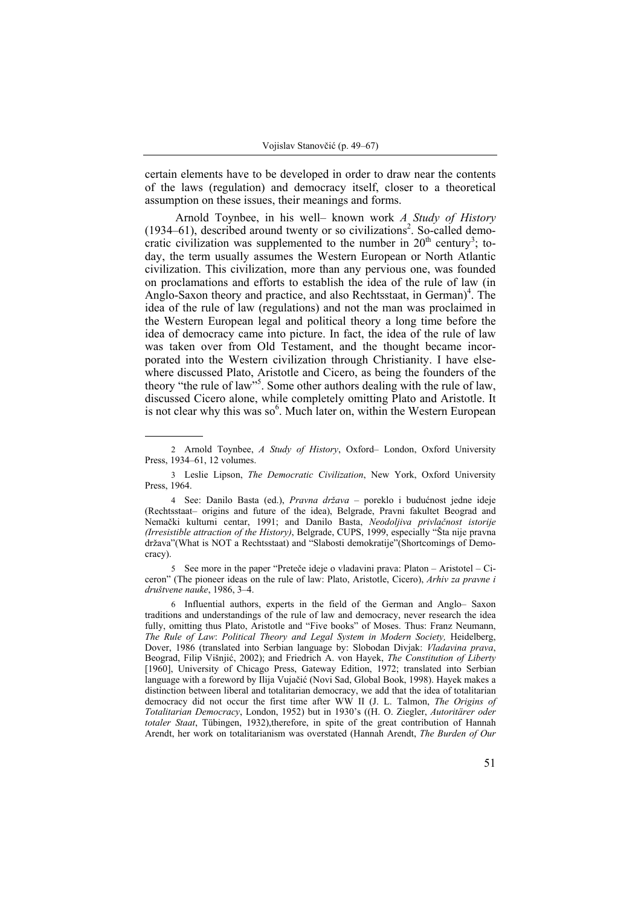certain elements have to be developed in order to draw near the contents of the laws (regulation) and democracy itself, closer to a theoretical assumption on these issues, their meanings and forms.

Arnold Toynbee, in his well– known work *A Study of History*  $(1934–61)$ , described around twenty or so civilizations<sup>2</sup>. So-called democratic civilization was supplemented to the number in  $20<sup>th</sup>$  century<sup>3</sup>; today, the term usually assumes the Western European or North Atlantic civilization. This civilization, more than any pervious one, was founded on proclamations and efforts to establish the idea of the rule of law (in Anglo-Saxon theory and practice, and also Rechtsstaat, in German)<sup>4</sup>. The idea of the rule of law (regulations) and not the man was proclaimed in the Western European legal and political theory a long time before the idea of democracy came into picture. In fact, the idea of the rule of law was taken over from Old Testament, and the thought became incorporated into the Western civilization through Christianity. I have elsewhere discussed Plato, Aristotle and Cicero, as being the founders of the theory "the rule of law"<sup>55</sup>. Some other authors dealing with the rule of law, discussed Cicero alone, while completely omitting Plato and Aristotle. It is not clear why this was  $so^6$ . Much later on, within the Western European

5 See more in the paper "Preteče ideje o vladavini prava: Platon – Aristotel – Ciceron" (The pioneer ideas on the rule of law: Plato, Aristotle, Cicero), *Arhiv za pravne i društvene nauke*, 1986, 3–4.

6 Influential authors, experts in the field of the German and Anglo– Saxon traditions and understandings of the rule of law and democracy, never research the idea fully, omitting thus Plato, Aristotle and "Five books" of Moses. Thus: Franz Neumann, *The Rule of Law*: *Political Theory and Legal System in Modern Society,* Heidelberg, Dover, 1986 (translated into Serbian language by: Slobodan Divjak: *Vladavina prava*, Beograd, Filip Višnjić, 2002); and Friedrich A. von Hayek, *The Constitution of Liberty*  [1960], University of Chicago Press, Gateway Edition, 1972; translated into Serbian language with a foreword by Ilija Vujačić (Novi Sad, Global Book, 1998). Hayek makes a distinction between liberal and totalitarian democracy, we add that the idea of totalitarian democracy did not occur the first time after WW II (J. L. Talmon, *The Origins of Totalitarian Democracy*, London, 1952) but in 1930's ((H. O. Ziegler, *Autoritärer oder totaler Staat*, Tübingen, 1932),therefore, in spite of the great contribution of Hannah Arendt, her work on totalitarianism was overstated (Hannah Arendt, *The Burden of Our* 

<sup>2</sup> Arnold Toynbee, *A Study of History*, Oxford– London, Oxford University Press, 1934–61, 12 volumes.

<sup>3</sup> Leslie Lipson, *The Democratic Civilization*, New York, Oxford University Press, 1964.

<sup>4</sup> See: Danilo Basta (ed.), *Pravna država* – poreklo i budućnost jedne ideje (Rechtsstaat– origins and future of the idea), Belgrade, Pravni fakultet Beograd and Nemački kulturni centar, 1991; and Danilo Basta, *Neodoljiva privlačnost istorije (Irresistible attraction of the History)*, Belgrade, CUPS, 1999, especially "Šta nije pravna država"(What is NOT a Rechtsstaat) and "Slabosti demokratije"(Shortcomings of Democracy).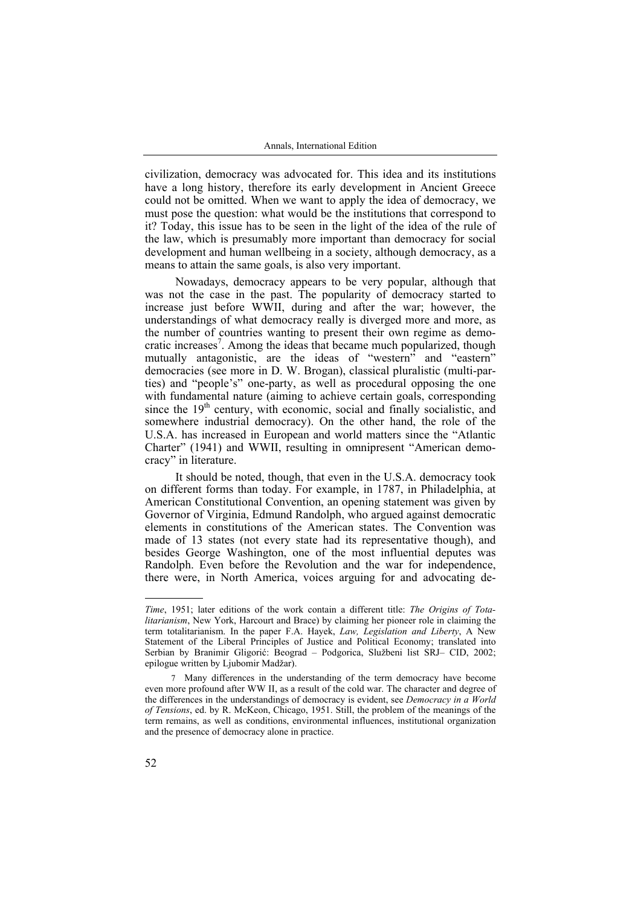civilization, democracy was advocated for. This idea and its institutions have a long history, therefore its early development in Ancient Greece could not be omitted. When we want to apply the idea of democracy, we must pose the question: what would be the institutions that correspond to it? Today, this issue has to be seen in the light of the idea of the rule of the law, which is presumably more important than democracy for social development and human wellbeing in a society, although democracy, as a means to attain the same goals, is also very important.

Nowadays, democracy appears to be very popular, although that was not the case in the past. The popularity of democracy started to increase just before WWII, during and after the war; however, the understandings of what democracy really is diverged more and more, as the number of countries wanting to present their own regime as democratic increases<sup>7</sup>. Among the ideas that became much popularized, though mutually antagonistic, are the ideas of "western" and "eastern" democracies (see more in D. W. Brogan), classical pluralistic (multi-parties) and "people's" one-party, as well as procedural opposing the one with fundamental nature (aiming to achieve certain goals, corresponding since the  $19<sup>th</sup>$  century, with economic, social and finally socialistic, and somewhere industrial democracy). On the other hand, the role of the U.S.A. has increased in European and world matters since the "Atlantic Charter" (1941) and WWII, resulting in omnipresent "American democracy" in literature.

It should be noted, though, that even in the U.S.A. democracy took on different forms than today. For example, in 1787, in Philadelphia, at American Constitutional Convention, an opening statement was given by Governor of Virginia, Edmund Randolph, who argued against democratic elements in constitutions of the American states. The Convention was made of 13 states (not every state had its representative though), and besides George Washington, one of the most influential deputes was Randolph. Even before the Revolution and the war for independence, there were, in North America, voices arguing for and advocating de-

*Time*, 1951; later editions of the work contain a different title: *The Origins of Totalitarianism*, New York, Harcourt and Brace) by claiming her pioneer role in claiming the term totalitarianism. In the paper F.A. Hayek, *Law, Legislation and Liberty*, A New Statement of the Liberal Principles of Justice and Political Economy; translated into Serbian by Branimir Gligorić: Beograd – Podgorica, Službeni list SRJ– CID, 2002; epilogue written by Ljubomir Madžar).

<sup>7</sup> Many differences in the understanding of the term democracy have become even more profound after WW II, as a result of the cold war. The character and degree of the differences in the understandings of democracy is evident, see *Democracy in a World of Tensions*, ed. by R. McKeon, Chicago, 1951. Still, the problem of the meanings of the term remains, as well as conditions, environmental influences, institutional organization and the presence of democracy alone in practice.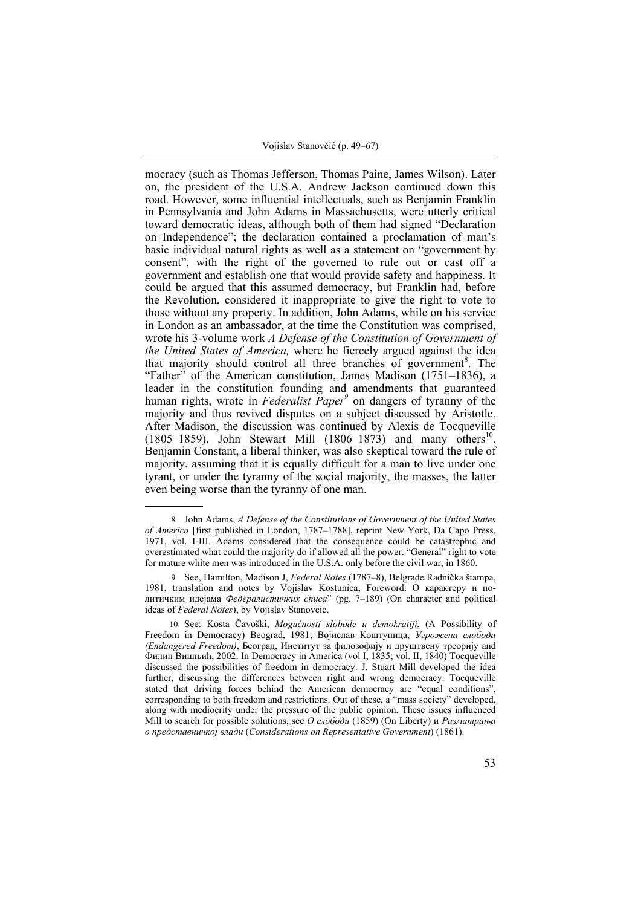mocracy (such as Thomas Jefferson, Thomas Paine, James Wilson). Later on, the president of the U.S.A. Andrew Jackson continued down this road. However, some influential intellectuals, such as Benjamin Franklin in Pennsylvania and John Adams in Massachusetts, were utterly critical toward democratic ideas, although both of them had signed "Declaration on Independence"; the declaration contained a proclamation of man's basic individual natural rights as well as a statement on "government by consent", with the right of the governed to rule out or cast off a government and establish one that would provide safety and happiness. It could be argued that this assumed democracy, but Franklin had, before the Revolution, considered it inappropriate to give the right to vote to those without any property. In addition, John Adams, while on his service in London as an ambassador, at the time the Constitution was comprised, wrote his 3-volume work *A Defense of the Constitution of Government of the United States of America,* where he fiercely argued against the idea that majority should control all three branches of government<sup>8</sup>. The "Father" of the American constitution, James Madison (1751–1836), a leader in the constitution founding and amendments that guaranteed human rights, wrote in *Federalist Paper*<sup>9</sup> on dangers of tyranny of the majority and thus revived disputes on a subject discussed by Aristotle. After Madison, the discussion was continued by Alexis de Tocqueville (1805–1859), John Stewart Mill (1806–1873) and many others<sup>10</sup>. Benjamin Constant, a liberal thinker, was also skeptical toward the rule of majority, assuming that it is equally difficult for a man to live under one tyrant, or under the tyranny of the social majority, the masses, the latter even being worse than the tyranny of one man.

10 See: Kosta Čavoški, *Mogućnosti slobode u demokratiji*, (A Possibility of Freedom in Democracy) Beograd, 1981; Војислав Коштуница, *Угрожена слобода (Endangered Freedom)*, Београд, Институт за филозофију и друштвену треорију and Филип Вишњић, 2002. In Democracy in America (vol I, 1835; vol. II, 1840) Tocqueville discussed the possibilities of freedom in democracy. J. Stuart Mill developed the idea further, discussing the differences between right and wrong democracy. Tocqueville stated that driving forces behind the American democracy are "equal conditions", corresponding to both freedom and restrictions. Out of these, a "mass society" developed, along with mediocrity under the pressure of the public opinion. These issues influenced Mill to search for possible solutions, see *О слободи* (1859) (On Liberty) и *Разматрања о представничкој влади* (*Considerations on Representative Government*) (1861).

<sup>8</sup> John Adams, *A Defense of the Constitutions of Government of the United States of America* [first published in London, 1787–1788], reprint New York, Da Capo Press, 1971, vol. I-III. Adams considered that the consequence could be catastrophic and overestimated what could the majority do if allowed all the power. "General" right to vote for mature white men was introduced in the U.S.A. only before the civil war, in 1860.

<sup>9</sup> See, Hamilton, Madison J, *Federal Notes* (1787–8), Belgrade Radnička štampa, 1981, translation and notes by Vojislav Kostunica; Foreword: О карактеру и политичким идејама *Федералистичких списа*" (pg. 7–189) (On character and political ideas of *Federal Notes*), by Vojislav Stanovcic.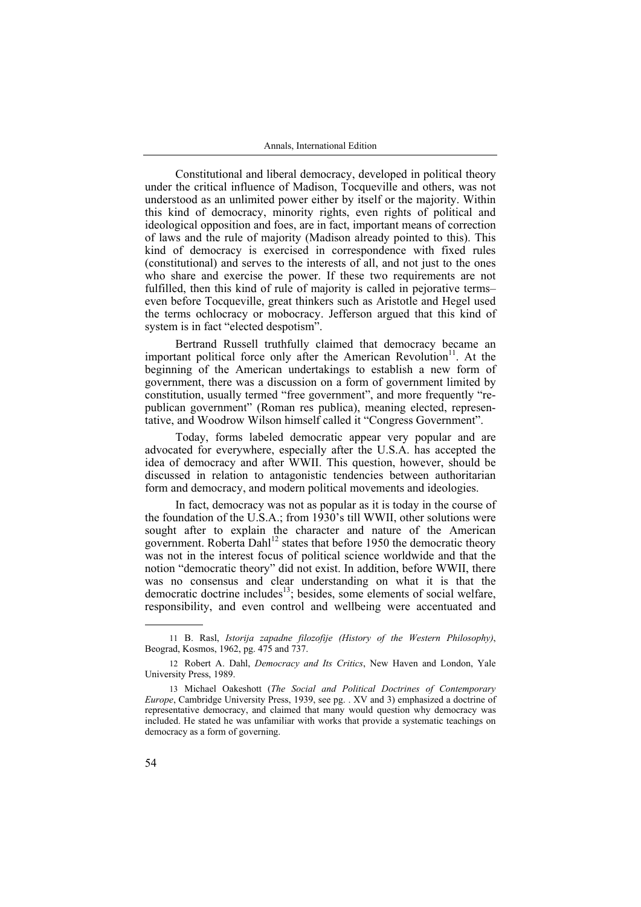Constitutional and liberal democracy, developed in political theory under the critical influence of Madison, Tocqueville and others, was not understood as an unlimited power either by itself or the majority. Within this kind of democracy, minority rights, even rights of political and ideological opposition and foes, are in fact, important means of correction of laws and the rule of majority (Madison already pointed to this). This kind of democracy is exercised in correspondence with fixed rules (constitutional) and serves to the interests of all, and not just to the ones who share and exercise the power. If these two requirements are not fulfilled, then this kind of rule of majority is called in pejorative terms– even before Tocqueville, great thinkers such as Aristotle and Hegel used the terms ochlocracy or mobocracy. Jefferson argued that this kind of system is in fact "elected despotism".

Bertrand Russell truthfully claimed that democracy became an important political force only after the American Revolution $11$ . At the beginning of the American undertakings to establish a new form of government, there was a discussion on a form of government limited by constitution, usually termed "free government", and more frequently "republican government" (Roman res publica), meaning elected, representative, and Woodrow Wilson himself called it "Congress Government".

Today, forms labeled democratic appear very popular and are advocated for everywhere, especially after the U.S.A. has accepted the idea of democracy and after WWII. This question, however, should be discussed in relation to antagonistic tendencies between authoritarian form and democracy, and modern political movements and ideologies.

In fact, democracy was not as popular as it is today in the course of the foundation of the U.S.A.; from  $1930$ 's till WWII, other solutions were sought after to explain the character and nature of the American government. Roberta Dahl<sup>12</sup> states that before 1950 the democratic theory was not in the interest focus of political science worldwide and that the notion "democratic theory" did not exist. In addition, before WWII, there was no consensus and clear understanding on what it is that the democratic doctrine includes<sup>13</sup>; besides, some elements of social welfare, responsibility, and even control and wellbeing were accentuated and

<sup>11</sup> B. Rasl, *Istorija zapadne filozofije (History of the Western Philosophy)*, Beograd, Kosmos, 1962, pg. 475 and 737.

<sup>12</sup> Robert А. Dahl, *Democracy and Its Critics*, New Haven and London, Yale University Press, 1989.

<sup>13</sup> Michael Oakeshott (*The Social and Political Doctrines of Contemporary Europe*, Cambridge University Press, 1939, see pg. . XV and 3) emphasized a doctrine of representative democracy, and claimed that many would question why democracy was included. He stated he was unfamiliar with works that provide a systematic teachings on democracy as a form of governing.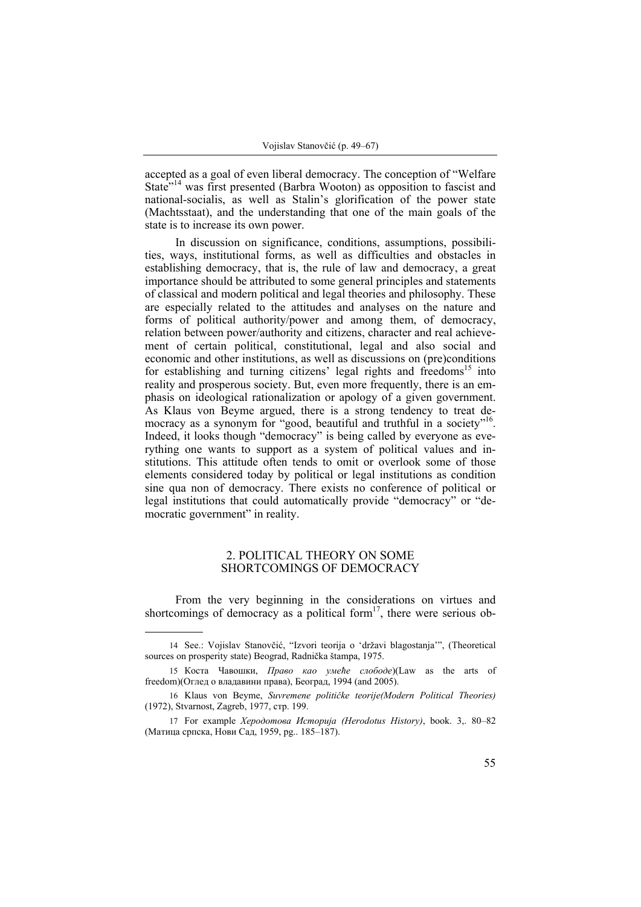accepted as a goal of even liberal democracy. The conception of "Welfare State<sup>"14</sup> was first presented (Barbra Wooton) as opposition to fascist and national-socialis, as well as Stalin's glorification of the power state (Machtsstaat), and the understanding that one of the main goals of the state is to increase its own power.

In discussion on significance, conditions, assumptions, possibilities, ways, institutional forms, as well as difficulties and obstacles in establishing democracy, that is, the rule of law and democracy, a great importance should be attributed to some general principles and statements of classical and modern political and legal theories and philosophy. These are especially related to the attitudes and analyses on the nature and forms of political authority/power and among them, of democracy, relation between power/authority and citizens, character and real achievement of certain political, constitutional, legal and also social and economic and other institutions, as well as discussions on (pre)conditions for establishing and turning citizens' legal rights and freedoms<sup>15</sup> into reality and prosperous society. But, even more frequently, there is an emphasis on ideological rationalization or apology of a given government. As Klaus von Beyme argued, there is a strong tendency to treat democracy as a synonym for "good, beautiful and truthful in a society"<sup>16</sup>. Indeed, it looks though "democracy" is being called by everyone as everything one wants to support as a system of political values and institutions. This attitude often tends to omit or overlook some of those elements considered today by political or legal institutions as condition sine qua non of democracy. There exists no conference of political or legal institutions that could automatically provide "democracy" or "democratic government" in reality.

## 2. POLITICAL THEORY ON SOME SHORTCOMINGS OF DEMOCRACY

From the very beginning in the considerations on virtues and shortcomings of democracy as a political form<sup>17</sup>, there were serious ob-

<sup>14</sup> See.: Vojislav Stanovčić, "Izvori teorija o 'državi blagostanja'", (Theoretical sources on prosperity state) Beograd, Radnička štampa, 1975.

<sup>15</sup> Коста Чавошки, *Право као умеће слободе*)(Law as the arts of freedom)(Оглед о владавини права), Београд, 1994 (and 2005).

<sup>16</sup> Klaus von Beyme, *Suvremene političke teorije(Modern Political Theories)*  (1972), Stvarnost, Zagreb, 1977, стр. 199.

<sup>17</sup> For example *Херодотова Историја (Herodotus History)*, book. 3,. 80–82 (Матица српска, Нови Сад, 1959, pg.. 185–187).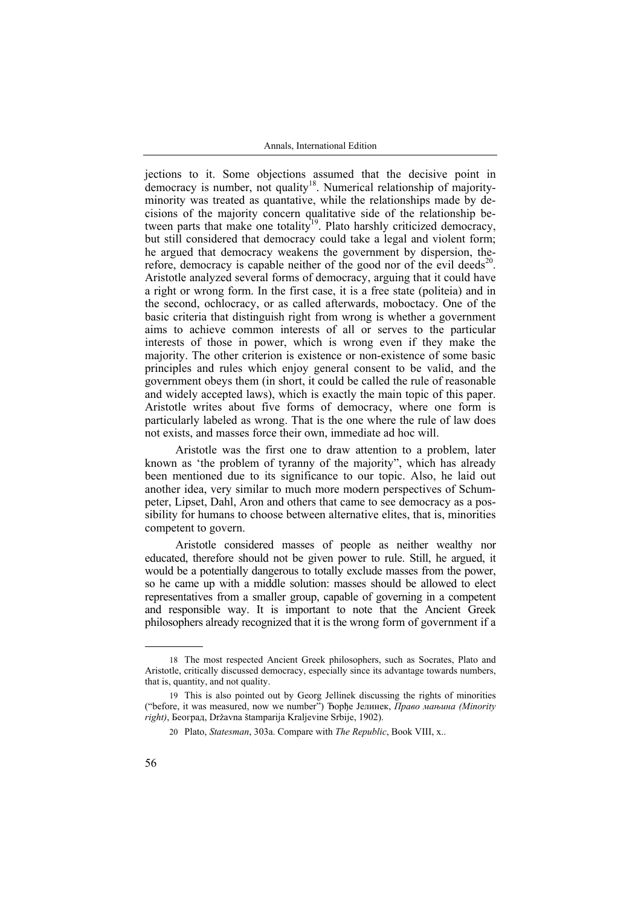jections to it. Some objections assumed that the decisive point in democracy is number, not quality<sup>18</sup>. Numerical relationship of majorityminority was treated as quantative, while the relationships made by decisions of the majority concern qualitative side of the relationship between parts that make one totality<sup>19</sup>. Plato harshly criticized democracy, but still considered that democracy could take a legal and violent form; he argued that democracy weakens the government by dispersion, therefore, democracy is capable neither of the good nor of the evil deeds<sup>20</sup>. Aristotle analyzed several forms of democracy, arguing that it could have a right or wrong form. In the first case, it is a free state (politeia) and in the second, ochlocracy, or as called afterwards, moboctacy. One of the basic criteria that distinguish right from wrong is whether a government aims to achieve common interests of all or serves to the particular interests of those in power, which is wrong even if they make the majority. The other criterion is existence or non-existence of some basic principles and rules which enjoy general consent to be valid, and the government obeys them (in short, it could be called the rule of reasonable and widely accepted laws), which is exactly the main topic of this paper. Aristotle writes about five forms of democracy, where one form is particularly labeled as wrong. That is the one where the rule of law does not exists, and masses force their own, immediate ad hoc will.

Aristotle was the first one to draw attention to a problem, later known as 'the problem of tyranny of the majority", which has already been mentioned due to its significance to our topic. Also, he laid out another idea, very similar to much more modern perspectives of Schumpeter, Lipset, Dahl, Aron and others that came to see democracy as a possibility for humans to choose between alternative elites, that is, minorities competent to govern.

Aristotle considered masses of people as neither wealthy nor educated, therefore should not be given power to rule. Still, he argued, it would be a potentially dangerous to totally exclude masses from the power, so he came up with a middle solution: masses should be allowed to elect representatives from a smaller group, capable of governing in a competent and responsible way. It is important to note that the Ancient Greek philosophers already recognized that it is the wrong form of government if a

<sup>18</sup> The most respected Ancient Greek philosophers, such as Socrates, Plato and Aristotle, critically discussed democracy, especially since its advantage towards numbers, that is, quantity, and not quality.

<sup>19</sup> This is also pointed out by Georg Jellinek discussing the rights of minorities ("before, it was measured, now we number") Ђорђе Јелинек, *Право мањина (Minority right)*, Београд, Državna štamparija Kraljevine Srbije, 1902).

<sup>20</sup> Plato, *Statesman*, 303а. Compare with *The Republic*, Book VIII, x..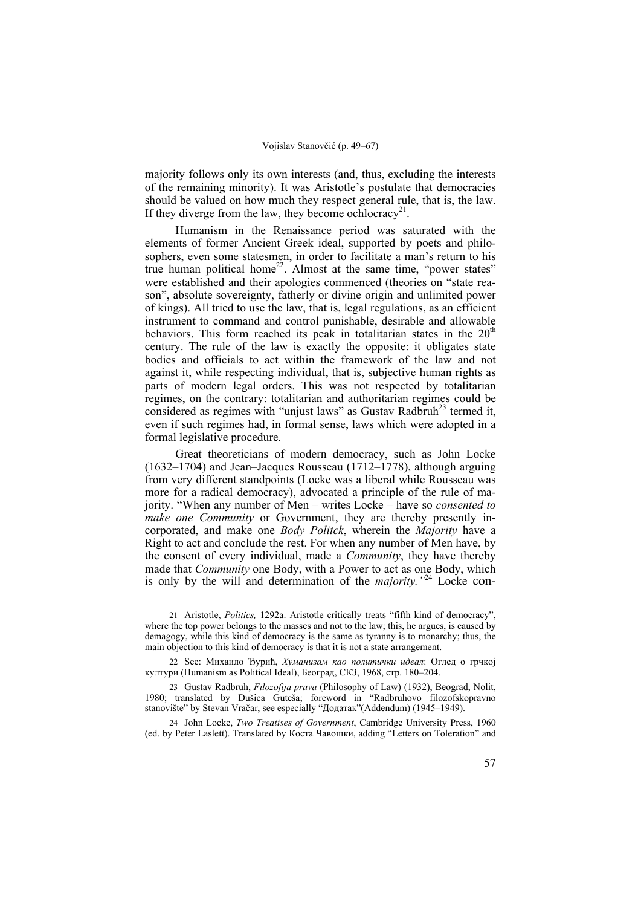majority follows only its own interests (and, thus, excluding the interests of the remaining minority). It was Aristotle's postulate that democracies should be valued on how much they respect general rule, that is, the law. If they diverge from the law, they become ochlocracy<sup>21</sup>.

Humanism in the Renaissance period was saturated with the elements of former Ancient Greek ideal, supported by poets and philosophers, even some statesmen, in order to facilitate a man's return to his true human political home<sup>22</sup>. Almost at the same time, "power states" were established and their apologies commenced (theories on "state reason", absolute sovereignty, fatherly or divine origin and unlimited power of kings). All tried to use the law, that is, legal regulations, as an efficient instrument to command and control punishable, desirable and allowable behaviors. This form reached its peak in totalitarian states in the  $20<sup>th</sup>$ century. The rule of the law is exactly the opposite: it obligates state bodies and officials to act within the framework of the law and not against it, while respecting individual, that is, subjective human rights as parts of modern legal orders. This was not respected by totalitarian regimes, on the contrary: totalitarian and authoritarian regimes could be considered as regimes with "unjust laws" as Gustav Radbruh<sup>23</sup> termed it, even if such regimes had, in formal sense, laws which were adopted in a formal legislative procedure.

Great theoreticians of modern democracy, such as John Locke (1632–1704) and Jean–Jacques Rousseau (1712–1778), although arguing from very different standpoints (Locke was a liberal while Rousseau was more for a radical democracy), advocated a principle of the rule of majority. "When any number of Men – writes Locke – have so *consented to make one Community* or Government, they are thereby presently incorporated, and make one *Body Politck*, wherein the *Majority* have a Right to act and conclude the rest. For when any number of Men have, by the consent of every individual, made a *Community*, they have thereby made that *Community* one Body, with a Power to act as one Body, which is only by the will and determination of the *majority."*24 Locke con-

<sup>21</sup> Aristotle, *Politics,* 1292a. Aristotle critically treats "fifth kind of democracy", where the top power belongs to the masses and not to the law; this, he argues, is caused by demagogy, while this kind of democracy is the same as tyranny is to monarchy; thus, the main objection to this kind of democracy is that it is not a state arrangement.

<sup>22</sup> See: Михаило Ђурић, *Хуманизам као политички идеал*: Оглед о грчкој култури (Humanism as Political Ideal), Београд, СКЗ, 1968, стр. 180–204.

<sup>23</sup> Gustav Radbruh, *Filozofija prava* (Philosophy of Law) (1932), Beograd, Nolit, 1980; translated by Dušica Guteša; foreword in "Radbruhovo filozofskopravno stanovište" by Stevan Vračar, see especially "Додатак"(Addendum) (1945–1949).

<sup>24</sup> John Locke, *Two Treatises of Government*, Cambridge University Press, 1960 (ed. by Peter Laslett). Translated by Коста Чавошки, adding "Letters on Toleration" and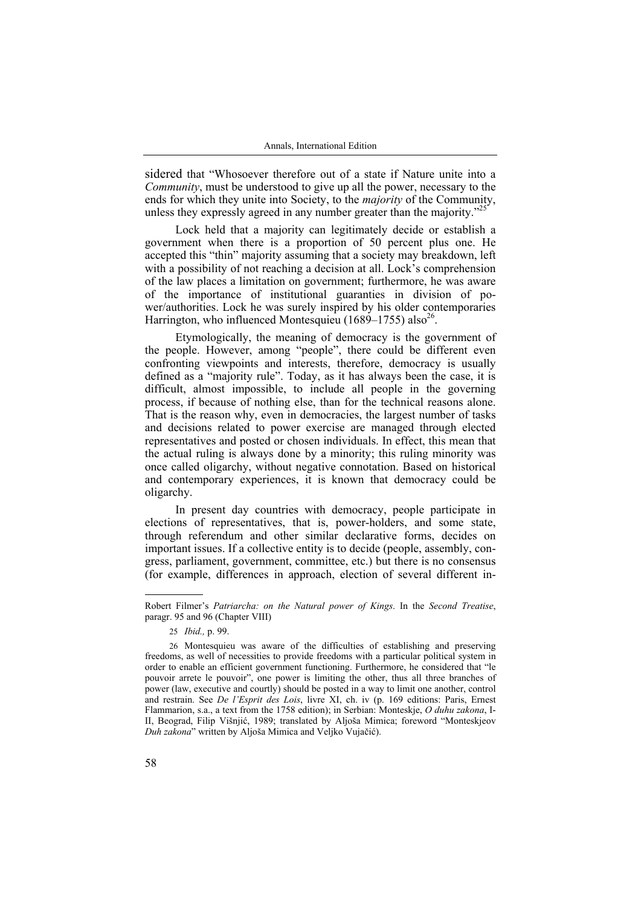sidered that "Whosoever therefore out of a state if Nature unite into a *Community*, must be understood to give up all the power, necessary to the ends for which they unite into Society, to the *majority* of the Community, unless they expressly agreed in any number greater than the majority.<sup>225</sup>

Lock held that a majority can legitimately decide or establish a government when there is a proportion of 50 percent plus one. He accepted this "thin" majority assuming that a society may breakdown, left with a possibility of not reaching a decision at all. Lock's comprehension of the law places a limitation on government; furthermore, he was aware of the importance of institutional guaranties in division of power/authorities. Lock he was surely inspired by his older contemporaries Harrington, who influenced Montesquieu (1689–1755) also<sup>26</sup>.

Etymologically, the meaning of democracy is the government of the people. However, among "people", there could be different even confronting viewpoints and interests, therefore, democracy is usually defined as a "majority rule". Today, as it has always been the case, it is difficult, almost impossible, to include all people in the governing process, if because of nothing else, than for the technical reasons alone. That is the reason why, even in democracies, the largest number of tasks and decisions related to power exercise are managed through elected representatives and posted or chosen individuals. In effect, this mean that the actual ruling is always done by a minority; this ruling minority was once called oligarchy, without negative connotation. Based on historical and contemporary experiences, it is known that democracy could be oligarchy.

In present day countries with democracy, people participate in elections of representatives, that is, power-holders, and some state, through referendum and other similar declarative forms, decides on important issues. If a collective entity is to decide (people, assembly, congress, parliament, government, committee, etc.) but there is no consensus (for example, differences in approach, election of several different in-

Robert Filmer's *Patriarcha: on the Natural power of Kings*. In the *Second Treatise*, paragr. 95 and 96 (Chapter VIII)

<sup>25</sup> *Ibid.,* p. 99.

<sup>26</sup> Montesquieu was aware of the difficulties of establishing and preserving freedoms, as well of necessities to provide freedoms with a particular political system in order to enable an efficient government functioning. Furthermore, he considered that "le pouvoir arrete le pouvoir", one power is limiting the other, thus all three branches of power (law, executive and courtly) should be posted in a way to limit one another, control and restrain. See *De l'Esprit des Lois*, livre XI, ch. iv (p. 169 editions: Paris, Ernest Flammarion, s.a., a text from the 1758 edition); in Serbian: Monteskje, *O duhu zakona*, I-II, Beograd, Filip Višnjić, 1989; translated by Aljoša Mimica; foreword "Monteskjeov *Duh zakona*" written by Aljoša Mimica and Veljko Vujačić).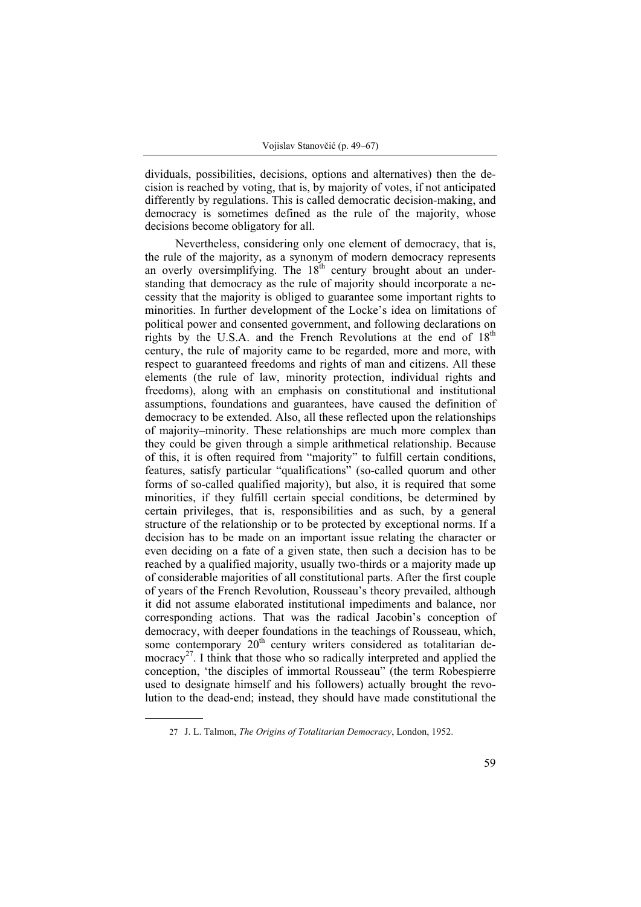dividuals, possibilities, decisions, options and alternatives) then the decision is reached by voting, that is, by majority of votes, if not anticipated differently by regulations. This is called democratic decision-making, and democracy is sometimes defined as the rule of the majority, whose decisions become obligatory for all.

Nevertheless, considering only one element of democracy, that is, the rule of the majority, as a synonym of modern democracy represents an overly oversimplifying. The  $18<sup>th</sup>$  century brought about an understanding that democracy as the rule of majority should incorporate a necessity that the majority is obliged to guarantee some important rights to minorities. In further development of the Locke's idea on limitations of political power and consented government, and following declarations on rights by the U.S.A. and the French Revolutions at the end of  $18<sup>th</sup>$ century, the rule of majority came to be regarded, more and more, with respect to guaranteed freedoms and rights of man and citizens. All these elements (the rule of law, minority protection, individual rights and freedoms), along with an emphasis on constitutional and institutional assumptions, foundations and guarantees, have caused the definition of democracy to be extended. Also, all these reflected upon the relationships of majority–minority. These relationships are much more complex than they could be given through a simple arithmetical relationship. Because of this, it is often required from "majority" to fulfill certain conditions, features, satisfy particular "qualifications" (so-called quorum and other forms of so-called qualified majority), but also, it is required that some minorities, if they fulfill certain special conditions, be determined by certain privileges, that is, responsibilities and as such, by a general structure of the relationship or to be protected by exceptional norms. If a decision has to be made on an important issue relating the character or even deciding on a fate of a given state, then such a decision has to be reached by a qualified majority, usually two-thirds or a majority made up of considerable majorities of all constitutional parts. After the first couple of years of the French Revolution, Rousseau's theory prevailed, although it did not assume elaborated institutional impediments and balance, nor corresponding actions. That was the radical Jacobin's conception of democracy, with deeper foundations in the teachings of Rousseau, which, some contemporary 20<sup>th</sup> century writers considered as totalitarian democracy<sup>27</sup>. I think that those who so radically interpreted and applied the conception, 'the disciples of immortal Rousseau" (the term Robespierre used to designate himself and his followers) actually brought the revolution to the dead-end; instead, they should have made constitutional the

<sup>27</sup> J. L. Talmon, *The Origins of Totalitarian Democracy*, London, 1952.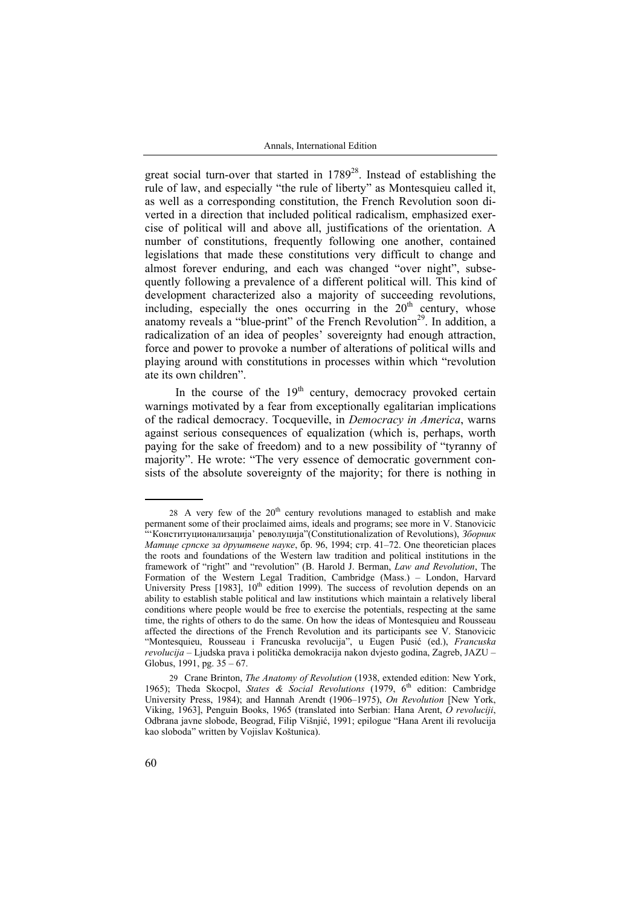great social turn-over that started in  $1789^{28}$ . Instead of establishing the rule of law, and especially "the rule of liberty" as Montesquieu called it, as well as a corresponding constitution, the French Revolution soon diverted in a direction that included political radicalism, emphasized exercise of political will and above all, justifications of the orientation. A number of constitutions, frequently following one another, contained legislations that made these constitutions very difficult to change and almost forever enduring, and each was changed "over night", subsequently following a prevalence of a different political will. This kind of development characterized also a majority of succeeding revolutions, including, especially the ones occurring in the  $20<sup>th</sup>$  century, whose anatomy reveals a "blue-print" of the French Revolution<sup>29</sup>. In addition, a radicalization of an idea of peoples' sovereignty had enough attraction, force and power to provoke a number of alterations of political wills and playing around with constitutions in processes within which "revolution ate its own children".

In the course of the  $19<sup>th</sup>$  century, democracy provoked certain warnings motivated by a fear from exceptionally egalitarian implications of the radical democracy. Tocqueville, in *Democracy in America*, warns against serious consequences of equalization (which is, perhaps, worth paying for the sake of freedom) and to a new possibility of "tyranny of majority". He wrote: "The very essence of democratic government consists of the absolute sovereignty of the majority; for there is nothing in

<sup>28</sup> A very few of the  $20<sup>th</sup>$  century revolutions managed to establish and make permanent some of their proclaimed aims, ideals and programs; see more in V. Stanovicic "'Конституционализација' револуција"(Constitutionalization of Revolutions), *Зборник Матице српске за друштвене науке*, бр. 96, 1994; стр. 41–72. One theoretician places the roots and foundations of the Western law tradition and political institutions in the framework of "right" and "revolution" (В. Harold J. Berman, *Law and Revolution*, The Formation of the Western Legal Tradition, Cambridge (Mass.) – London, Harvard University Press [1983],  $10<sup>th</sup>$  edition 1999). The success of revolution depends on an ability to establish stable political and law institutions which maintain a relatively liberal conditions where people would be free to exercise the potentials, respecting at the same time, the rights of others to do the same. On how the ideas of Montesquieu and Rousseau affected the directions of the French Revolution and its participants see V. Stanovicic "Montesquieu, Rousseau i Francuska revolucija", u Eugen Pusić (ed.), *Francuska revolucija* – Ljudska prava i politička demokracija nakon dvjesto godina, Zagreb, JAZU – Globus, 1991, pg.  $35 - 67$ .

<sup>29</sup> Crane Brinton, *The Anatomy of Revolution* (1938, extended edition: New York, 1965); Theda Skocpol, *States & Social Revolutions* (1979, 6<sup>th</sup> edition: Cambridge University Press, 1984); and Hannah Arendt (1906–1975), *On Revolution* [New York, Viking, 1963], Penguin Books, 1965 (translated into Serbian: Hana Arent, *O revoluciji*, Odbrana javne slobode, Beograd, Filip Višnjić, 1991; epilogue "Hana Arent ili revolucija kao sloboda" written by Vojislav Koštunica).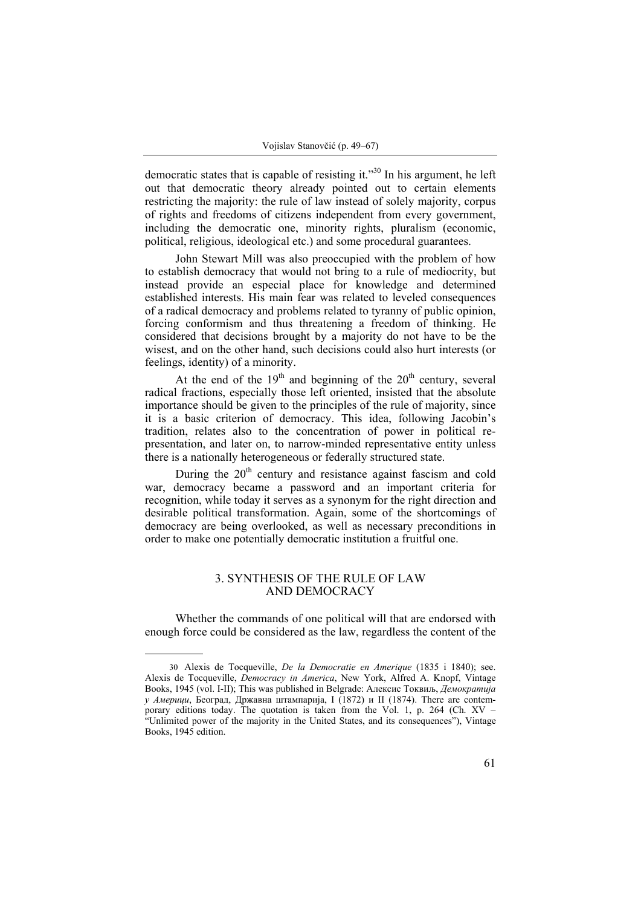democratic states that is capable of resisting it."30 In his argument, he left out that democratic theory already pointed out to certain elements restricting the majority: the rule of law instead of solely majority, corpus of rights and freedoms of citizens independent from every government, including the democratic one, minority rights, pluralism (economic, political, religious, ideological etc.) and some procedural guarantees.

John Stewart Mill was also preoccupied with the problem of how to establish democracy that would not bring to a rule of mediocrity, but instead provide an especial place for knowledge and determined established interests. His main fear was related to leveled consequences of a radical democracy and problems related to tyranny of public opinion, forcing conformism and thus threatening a freedom of thinking. He considered that decisions brought by a majority do not have to be the wisest, and on the other hand, such decisions could also hurt interests (or feelings, identity) of a minority.

At the end of the  $19<sup>th</sup>$  and beginning of the  $20<sup>th</sup>$  century, several radical fractions, especially those left oriented, insisted that the absolute importance should be given to the principles of the rule of majority, since it is a basic criterion of democracy. This idea, following Jacobin's tradition, relates also to the concentration of power in political representation, and later on, to narrow-minded representative entity unless there is a nationally heterogeneous or federally structured state.

During the  $20<sup>th</sup>$  century and resistance against fascism and cold war, democracy became a password and an important criteria for recognition, while today it serves as a synonym for the right direction and desirable political transformation. Again, some of the shortcomings of democracy are being overlooked, as well as necessary preconditions in order to make one potentially democratic institution a fruitful one.

# 3. SYNTHESIS OF THE RULE OF LAW AND DEMOCRACY

Whether the commands of one political will that are endorsed with enough force could be considered as the law, regardless the content of the

<sup>30</sup> Alexis de Tocqueville, *De la Democratie en Amerique* (1835 i 1840); see. Alexis de Tocqueville, *Democracy in America*, New York, Alfred A. Knopf, Vintage Books, 1945 (vol. I-II); This was published in Belgrade: Алексис Токвиљ, *Демократија у Америци*, Београд, Државна штампарија, I (1872) и II (1874). There are contemporary editions today. The quotation is taken from the Vol. 1, p. 264 (Ch.  $XV -$ "Unlimited power of the majority in the United States, and its consequences"), Vintage Books, 1945 edition.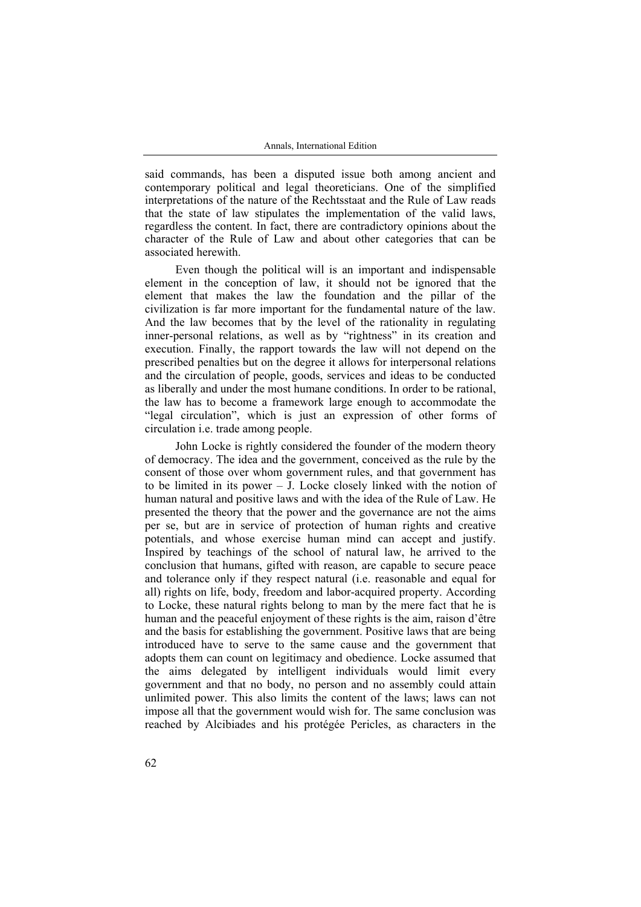said commands, has been a disputed issue both among ancient and contemporary political and legal theoreticians. One of the simplified interpretations of the nature of the Rechtsstaat and the Rule of Law reads that the state of law stipulates the implementation of the valid laws, regardless the content. In fact, there are contradictory opinions about the character of the Rule of Law and about other categories that can be associated herewith.

Even though the political will is an important and indispensable element in the conception of law, it should not be ignored that the element that makes the law the foundation and the pillar of the civilization is far more important for the fundamental nature of the law. And the law becomes that by the level of the rationality in regulating inner-personal relations, as well as by "rightness" in its creation and execution. Finally, the rapport towards the law will not depend on the prescribed penalties but on the degree it allows for interpersonal relations and the circulation of people, goods, services and ideas to be conducted as liberally and under the most humane conditions. In order to be rational, the law has to become a framework large enough to accommodate the "legal circulation", which is just an expression of other forms of circulation i.e. trade among people.

John Locke is rightly considered the founder of the modern theory of democracy. The idea and the government, conceived as the rule by the consent of those over whom government rules, and that government has to be limited in its power – J. Locke closely linked with the notion of human natural and positive laws and with the idea of the Rule of Law. He presented the theory that the power and the governance are not the aims per se, but are in service of protection of human rights and creative potentials, and whose exercise human mind can accept and justify. Inspired by teachings of the school of natural law, he arrived to the conclusion that humans, gifted with reason, are capable to secure peace and tolerance only if they respect natural (i.e. reasonable and equal for all) rights on life, body, freedom and labor-acquired property. According to Locke, these natural rights belong to man by the mere fact that he is human and the peaceful enjoyment of these rights is the aim, raison d'être and the basis for establishing the government. Positive laws that are being introduced have to serve to the same cause and the government that adopts them can count on legitimacy and obedience. Locke assumed that the aims delegated by intelligent individuals would limit every government and that no body, no person and no assembly could attain unlimited power. This also limits the content of the laws; laws can not impose all that the government would wish for. The same conclusion was reached by Alcibiades and his protégée Pericles, as characters in the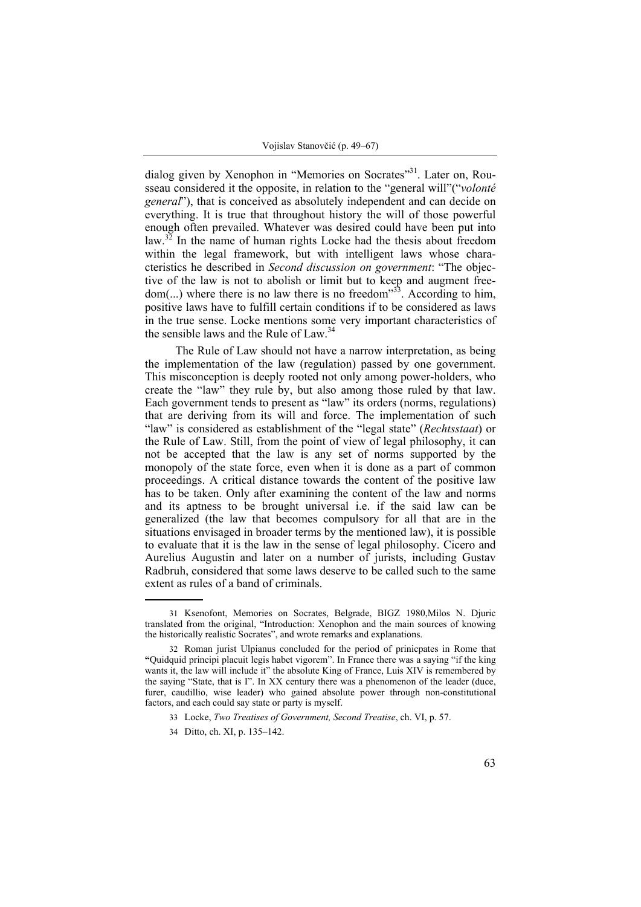dialog given by Xenophon in "Memories on Socrates"<sup>31</sup>. Later on, Rousseau considered it the opposite, in relation to the "general will"("*volonté general*"), that is conceived as absolutely independent and can decide on everything. It is true that throughout history the will of those powerful enough often prevailed. Whatever was desired could have been put into law.<sup>32</sup> In the name of human rights Locke had the thesis about freedom within the legal framework, but with intelligent laws whose characteristics he described in *Second discussion on government*: "The objective of the law is not to abolish or limit but to keep and augment freedom(...) where there is no law there is no freedom<sup>333</sup>. According to him, positive laws have to fulfill certain conditions if to be considered as laws in the true sense. Locke mentions some very important characteristics of the sensible laws and the Rule of Law.<sup>34</sup>

The Rule of Law should not have a narrow interpretation, as being the implementation of the law (regulation) passed by one government. This misconception is deeply rooted not only among power-holders, who create the "law" they rule by, but also among those ruled by that law. Each government tends to present as "law" its orders (norms, regulations) that are deriving from its will and force. The implementation of such "law" is considered as establishment of the "legal state" (*Rechtsstaat*) or the Rule of Law. Still, from the point of view of legal philosophy, it can not be accepted that the law is any set of norms supported by the monopoly of the state force, even when it is done as a part of common proceedings. A critical distance towards the content of the positive law has to be taken. Only after examining the content of the law and norms and its aptness to be brought universal i.e. if the said law can be generalized (the law that becomes compulsory for all that are in the situations envisaged in broader terms by the mentioned law), it is possible to evaluate that it is the law in the sense of legal philosophy. Cicero and Aurelius Augustin and later on a number of jurists, including Gustav Radbruh, considered that some laws deserve to be called such to the same extent as rules of a band of criminals.

<sup>31</sup> Ksenofont, Memories on Socrates, Belgrade, BIGZ 1980,Milos N. Djuric translated from the original, "Introduction: Xenophon and the main sources of knowing the historically realistic Socrates", and wrote remarks and explanations.

<sup>32</sup> Roman jurist Ulpianus concluded for the period of prinicpates in Rome that **"**Quidquid principi placuit legis habet vigorem". In France there was a saying "if the king wants it, the law will include it" the absolute King of France, Luis XIV is remembered by the saying "State, that is I". In XX century there was a phenomenon of the leader (duce, furer, caudillio, wise leader) who gained absolute power through non-constitutional factors, and each could say state or party is myself.

<sup>33</sup> Locke, *Two Treatises of Government, Second Treatise*, ch. VI, p. 57.

<sup>34</sup> Ditto, ch. XI, p. 135–142.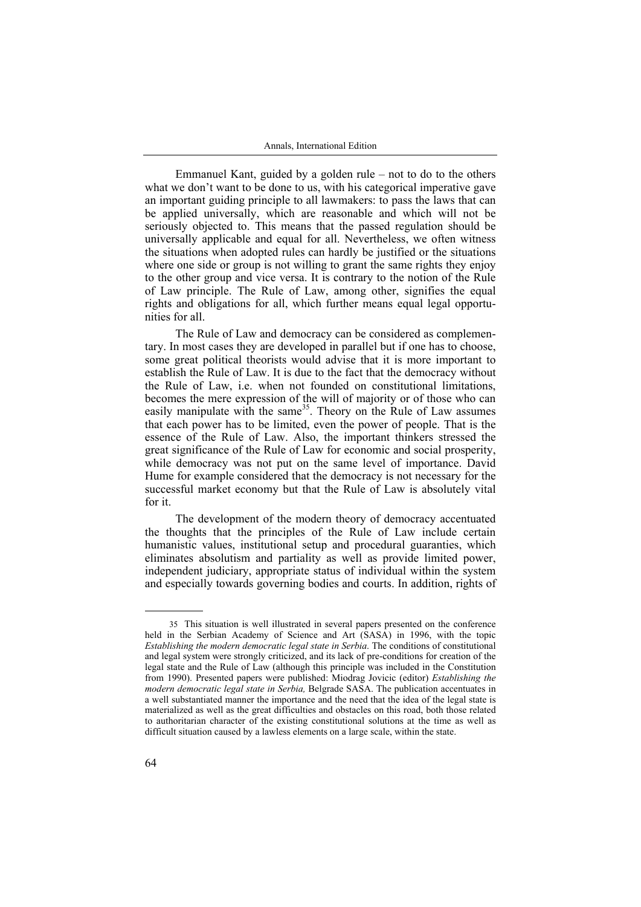Emmanuel Kant, guided by a golden rule – not to do to the others what we don't want to be done to us, with his categorical imperative gave an important guiding principle to all lawmakers: to pass the laws that can be applied universally, which are reasonable and which will not be seriously objected to. This means that the passed regulation should be universally applicable and equal for all. Nevertheless, we often witness the situations when adopted rules can hardly be justified or the situations where one side or group is not willing to grant the same rights they enjoy to the other group and vice versa. It is contrary to the notion of the Rule of Law principle. The Rule of Law, among other, signifies the equal rights and obligations for all, which further means equal legal opportunities for all.

The Rule of Law and democracy can be considered as complementary. In most cases they are developed in parallel but if one has to choose, some great political theorists would advise that it is more important to establish the Rule of Law. It is due to the fact that the democracy without the Rule of Law, i.e. when not founded on constitutional limitations, becomes the mere expression of the will of majority or of those who can easily manipulate with the same<sup>35</sup>. Theory on the Rule of Law assumes that each power has to be limited, even the power of people. That is the essence of the Rule of Law. Also, the important thinkers stressed the great significance of the Rule of Law for economic and social prosperity, while democracy was not put on the same level of importance. David Hume for example considered that the democracy is not necessary for the successful market economy but that the Rule of Law is absolutely vital for it.

The development of the modern theory of democracy accentuated the thoughts that the principles of the Rule of Law include certain humanistic values, institutional setup and procedural guaranties, which eliminates absolutism and partiality as well as provide limited power, independent judiciary, appropriate status of individual within the system and especially towards governing bodies and courts. In addition, rights of

<sup>35</sup> This situation is well illustrated in several papers presented on the conference held in the Serbian Academy of Science and Art (SASA) in 1996, with the topic *Establishing the modern democratic legal state in Serbia*. The conditions of constitutional and legal system were strongly criticized, and its lack of pre-conditions for creation of the legal state and the Rule of Law (although this principle was included in the Constitution from 1990). Presented papers were published: Miodrag Jovicic (editor) *Establishing the modern democratic legal state in Serbia,* Belgrade SASA. The publication accentuates in a well substantiated manner the importance and the need that the idea of the legal state is materialized as well as the great difficulties and obstacles on this road, both those related to authoritarian character of the existing constitutional solutions at the time as well as difficult situation caused by a lawless elements on a large scale, within the state.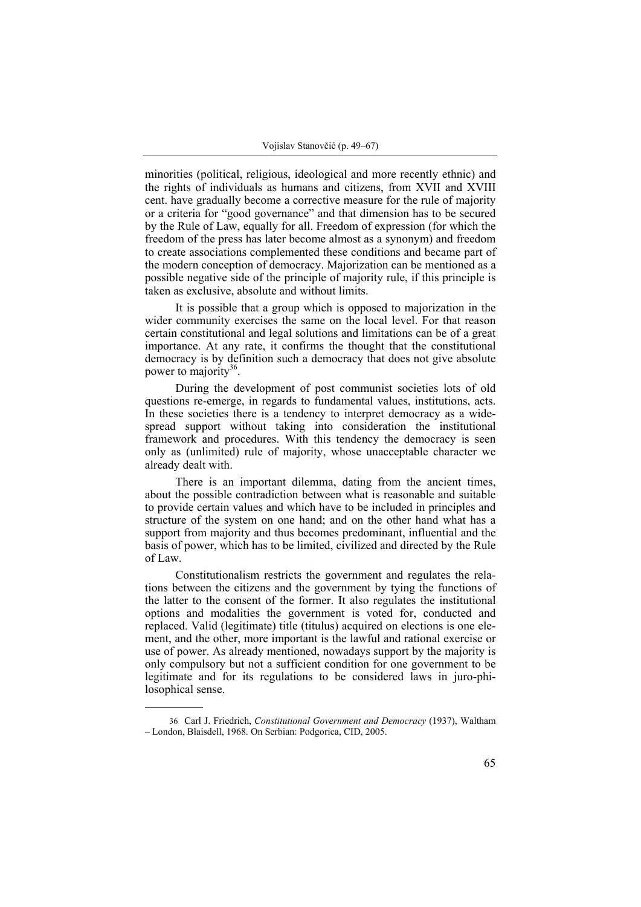minorities (political, religious, ideological and more recently ethnic) and the rights of individuals as humans and citizens, from XVII and XVIII cent. have gradually become a corrective measure for the rule of majority or a criteria for "good governance" and that dimension has to be secured by the Rule of Law, equally for all. Freedom of expression (for which the freedom of the press has later become almost as a synonym) and freedom to create associations complemented these conditions and became part of the modern conception of democracy. Majorization can be mentioned as a possible negative side of the principle of majority rule, if this principle is taken as exclusive, absolute and without limits.

It is possible that a group which is opposed to majorization in the wider community exercises the same on the local level. For that reason certain constitutional and legal solutions and limitations can be of a great importance. At any rate, it confirms the thought that the constitutional democracy is by definition such a democracy that does not give absolute power to majority<sup>36</sup>.

During the development of post communist societies lots of old questions re-emerge, in regards to fundamental values, institutions, acts. In these societies there is a tendency to interpret democracy as a widespread support without taking into consideration the institutional framework and procedures. With this tendency the democracy is seen only as (unlimited) rule of majority, whose unacceptable character we already dealt with.

There is an important dilemma, dating from the ancient times, about the possible contradiction between what is reasonable and suitable to provide certain values and which have to be included in principles and structure of the system on one hand; and on the other hand what has a support from majority and thus becomes predominant, influential and the basis of power, which has to be limited, civilized and directed by the Rule of Law.

Constitutionalism restricts the government and regulates the relations between the citizens and the government by tying the functions of the latter to the consent of the former. It also regulates the institutional options and modalities the government is voted for, conducted and replaced. Valid (legitimate) title (titulus) acquired on elections is one element, and the other, more important is the lawful and rational exercise or use of power. As already mentioned, nowadays support by the majority is only compulsory but not a sufficient condition for one government to be legitimate and for its regulations to be considered laws in juro-philosophical sense.

<sup>36</sup> Carl Ј. Friedrich, *Constitutional Government and Democracy* (1937), Waltham – London, Blaisdell, 1968. On Serbian: Podgorica, CID, 2005.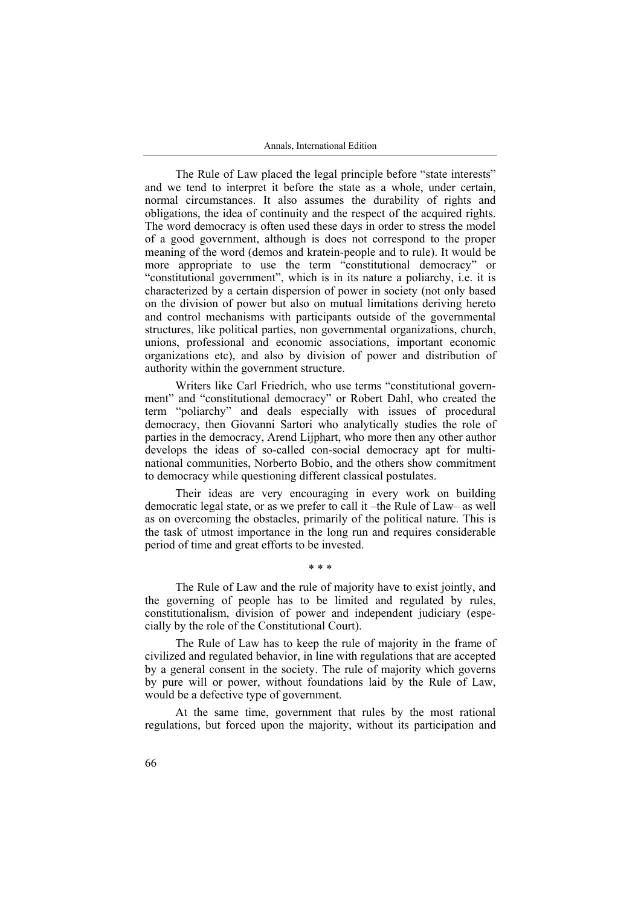The Rule of Law placed the legal principle before "state interests" and we tend to interpret it before the state as a whole, under certain, normal circumstances. It also assumes the durability of rights and obligations, the idea of continuity and the respect of the acquired rights. The word democracy is often used these days in order to stress the model of a good government, although is does not correspond to the proper meaning of the word (demos and kratein-people and to rule). It would be more appropriate to use the term "constitutional democracy" or "constitutional government", which is in its nature a poliarchy, i.e. it is characterized by a certain dispersion of power in society (not only based on the division of power but also on mutual limitations deriving hereto and control mechanisms with participants outside of the governmental structures, like political parties, non governmental organizations, church, unions, professional and economic associations, important economic organizations etc), and also by division of power and distribution of authority within the government structure.

Writers like Carl Friedrich, who use terms "constitutional government" and "constitutional democracy" or Robert Dahl, who created the term "poliarchy" and deals especially with issues of procedural democracy, then Giovanni Sartori who analytically studies the role of parties in the democracy, Arend Lijphart, who more then any other author develops the ideas of so-called con-social democracy apt for multinational communities, Norberto Bobio, and the others show commitment to democracy while questioning different classical postulates.

Their ideas are very encouraging in every work on building democratic legal state, or as we prefer to call it –the Rule of Law– as well as on overcoming the obstacles, primarily of the political nature. This is the task of utmost importance in the long run and requires considerable period of time and great efforts to be invested.

The Rule of Law and the rule of majority have to exist jointly, and the governing of people has to be limited and regulated by rules, constitutionalism, division of power and independent judiciary (especially by the role of the Constitutional Court).

\* \* \*

The Rule of Law has to keep the rule of majority in the frame of civilized and regulated behavior, in line with regulations that are accepted by a general consent in the society. The rule of majority which governs by pure will or power, without foundations laid by the Rule of Law, would be a defective type of government.

At the same time, government that rules by the most rational regulations, but forced upon the majority, without its participation and